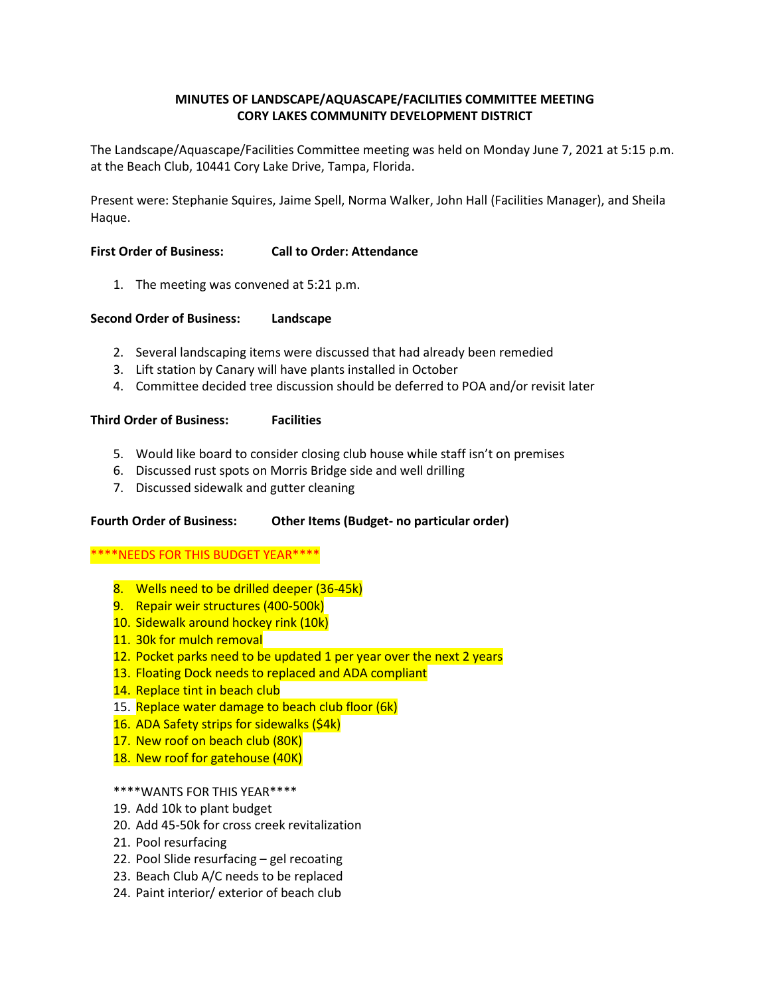# **MINUTES OF LANDSCAPE/AQUASCAPE/FACILITIES COMMITTEE MEETING CORY LAKES COMMUNITY DEVELOPMENT DISTRICT**

 The Landscape/Aquascape/Facilities Committee meeting was held on Monday June 7, 2021 at 5:15 p.m. at the Beach Club, 10441 Cory Lake Drive, Tampa, Florida.

Present were: Stephanie Squires, Jaime Spell, Norma Walker, John Hall (Facilities Manager), and Sheila Haque.

#### **First Order of Business: Call to Order: Attendance**

1. The meeting was convened at 5:21 p.m.

## **Second Order of Business: Landscape**

- 2. Several landscaping items were discussed that had already been remedied
- 3. Lift station by Canary will have plants installed in October
- 4. Committee decided tree discussion should be deferred to POA and/or revisit later

## **Third Order of Business: Facilities**

- 5. Would like board to consider closing club house while staff isn't on premises
- 6. Discussed rust spots on Morris Bridge side and well drilling
- 7. Discussed sidewalk and gutter cleaning

# **Fourth Order of Business: Other Items (Budget- no particular order)**

### \*\*\*\*NEEDS FOR THIS BUDGET YEAR\*\*\*\*

- 8. Wells need to be drilled deeper (36-45k)
- 9. Repair weir structures (400-500k)
- 10. Sidewalk around hockey rink (10k)
- 11. 30k for mulch removal
- 12. Pocket parks need to be updated 1 per year over the next 2 years
- 13. Floating Dock needs to replaced and ADA compliant
- 14. Replace tint in beach club
- 15. Replace water damage to beach club floor (6k)
- 16. ADA Safety strips for sidewalks (\$4k)
- 17. New roof on beach club (80K)
- 18. New roof for gatehouse (40K)

### \*\*\*\*WANTS FOR THIS YEAR\*\*\*\*

- 19. Add 10k to plant budget
- 20. Add 45-50k for cross creek revitalization
- 21. Pool resurfacing
- 22. Pool Slide resurfacing gel recoating
- 23. Beach Club A/C needs to be replaced
- 24. Paint interior/ exterior of beach club